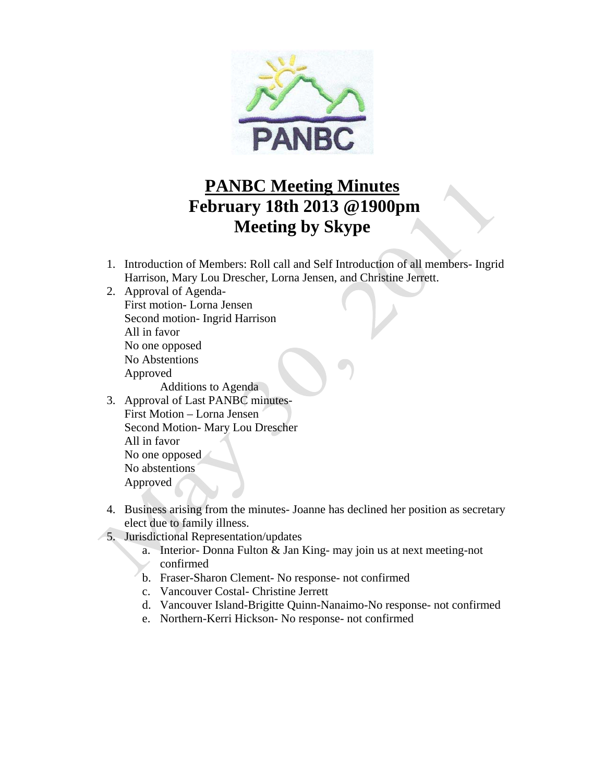

## **PANBC Meeting Minutes February 18th 2013 @1900pm Meeting by Skype**

- 1. Introduction of Members: Roll call and Self Introduction of all members- Ingrid Harrison, Mary Lou Drescher, Lorna Jensen, and Christine Jerrett.
- 2. Approval of Agenda-First motion- Lorna Jensen Second motion- Ingrid Harrison All in favor No one opposed No Abstentions Approved

Additions to Agenda

- 3. Approval of Last PANBC minutes-First Motion – Lorna Jensen Second Motion- Mary Lou Drescher All in favor No one opposed No abstentions Approved
- 4. Business arising from the minutes- Joanne has declined her position as secretary elect due to family illness.
- 5. Jurisdictional Representation/updates
	- a. Interior- Donna Fulton & Jan King- may join us at next meeting-not confirmed
	- b. Fraser-Sharon Clement- No response- not confirmed
	- c. Vancouver Costal- Christine Jerrett
	- d. Vancouver Island-Brigitte Quinn-Nanaimo-No response- not confirmed
	- e. Northern-Kerri Hickson- No response- not confirmed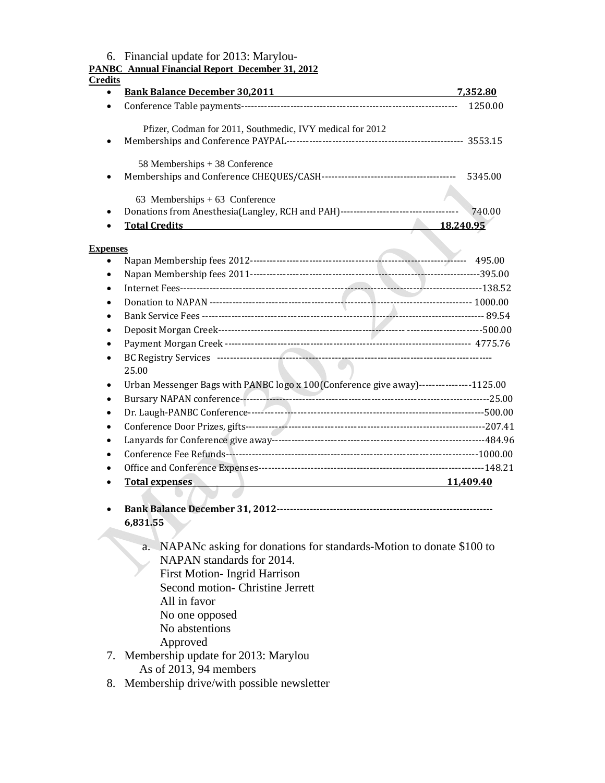|                        | 6. Financial update for 2013: Marylou-<br><b>PANBC Annual Financial Report December 31, 2012</b>                                                                                                                                                                                                                                                                   |           |
|------------------------|--------------------------------------------------------------------------------------------------------------------------------------------------------------------------------------------------------------------------------------------------------------------------------------------------------------------------------------------------------------------|-----------|
| <b>Credits</b>         |                                                                                                                                                                                                                                                                                                                                                                    |           |
| $\bullet$              | <b>Bank Balance December 30,2011 CONFIDENTIAL CONTRACT BANK BALACCE DECISION</b>                                                                                                                                                                                                                                                                                   | 7,352.80  |
| $\bullet$              |                                                                                                                                                                                                                                                                                                                                                                    | 1250.00   |
|                        | Pfizer, Codman for 2011, Southmedic, IVY medical for 2012                                                                                                                                                                                                                                                                                                          |           |
| $\bullet$              |                                                                                                                                                                                                                                                                                                                                                                    |           |
|                        |                                                                                                                                                                                                                                                                                                                                                                    |           |
|                        | 58 Memberships + 38 Conference                                                                                                                                                                                                                                                                                                                                     |           |
| ٠                      |                                                                                                                                                                                                                                                                                                                                                                    |           |
|                        | 63 Memberships $+63$ Conference                                                                                                                                                                                                                                                                                                                                    |           |
| $\bullet$              | Donations from Anesthesia(Langley, RCH and PAH)-----------------------------------                                                                                                                                                                                                                                                                                 | 740.00    |
|                        | <b>Total Credits</b>                                                                                                                                                                                                                                                                                                                                               | 18,240.95 |
|                        |                                                                                                                                                                                                                                                                                                                                                                    |           |
| <b>Expenses</b>        |                                                                                                                                                                                                                                                                                                                                                                    |           |
| $\bullet$              |                                                                                                                                                                                                                                                                                                                                                                    |           |
| $\bullet$<br>$\bullet$ |                                                                                                                                                                                                                                                                                                                                                                    |           |
| $\bullet$              |                                                                                                                                                                                                                                                                                                                                                                    |           |
|                        |                                                                                                                                                                                                                                                                                                                                                                    |           |
| $\bullet$              |                                                                                                                                                                                                                                                                                                                                                                    |           |
| $\bullet$              |                                                                                                                                                                                                                                                                                                                                                                    |           |
|                        |                                                                                                                                                                                                                                                                                                                                                                    |           |
|                        | 25.00                                                                                                                                                                                                                                                                                                                                                              |           |
| $\bullet$              | Urban Messenger Bags with PANBC logo x 100(Conference give away)----------------1125.00                                                                                                                                                                                                                                                                            |           |
| $\bullet$              |                                                                                                                                                                                                                                                                                                                                                                    |           |
| $\bullet$              |                                                                                                                                                                                                                                                                                                                                                                    |           |
| $\bullet$              |                                                                                                                                                                                                                                                                                                                                                                    |           |
| $\bullet$              |                                                                                                                                                                                                                                                                                                                                                                    |           |
|                        |                                                                                                                                                                                                                                                                                                                                                                    |           |
|                        |                                                                                                                                                                                                                                                                                                                                                                    |           |
|                        | <b>Total expenses</b><br>11,409.40                                                                                                                                                                                                                                                                                                                                 |           |
|                        |                                                                                                                                                                                                                                                                                                                                                                    |           |
|                        |                                                                                                                                                                                                                                                                                                                                                                    |           |
|                        | 6,831.55                                                                                                                                                                                                                                                                                                                                                           |           |
|                        | a. NAPANc asking for donations for standards-Motion to donate \$100 to<br>NAPAN standards for 2014.<br><b>First Motion-Ingrid Harrison</b><br>Second motion- Christine Jerrett<br>All in favor<br>No one opposed<br>No abstentions<br>Approved<br>7. Membership update for 2013: Marylou<br>As of 2013, 94 members<br>8. Membership drive/with possible newsletter |           |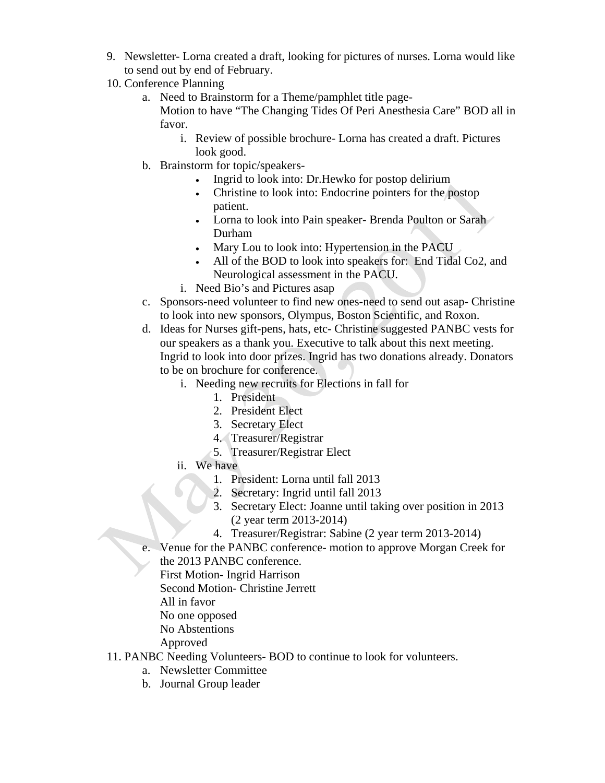- 9. Newsletter- Lorna created a draft, looking for pictures of nurses. Lorna would like to send out by end of February.
- 10. Conference Planning
	- a. Need to Brainstorm for a Theme/pamphlet title page-Motion to have "The Changing Tides Of Peri Anesthesia Care" BOD all in favor.
		- i. Review of possible brochure- Lorna has created a draft. Pictures look good.
	- b. Brainstorm for topic/speakers-
		- Ingrid to look into: Dr. Hewko for postop delirium
		- Christine to look into: Endocrine pointers for the postop patient.
		- Lorna to look into Pain speaker- Brenda Poulton or Sarah Durham
		- Mary Lou to look into: Hypertension in the PACU
		- All of the BOD to look into speakers for: End Tidal Co2, and Neurological assessment in the PACU.
		- i. Need Bio's and Pictures asap
	- c. Sponsors-need volunteer to find new ones-need to send out asap- Christine to look into new sponsors, Olympus, Boston Scientific, and Roxon.
	- d. Ideas for Nurses gift-pens, hats, etc- Christine suggested PANBC vests for our speakers as a thank you. Executive to talk about this next meeting. Ingrid to look into door prizes. Ingrid has two donations already. Donators to be on brochure for conference.
		- i. Needing new recruits for Elections in fall for
			- 1. President
			- 2. President Elect
			- 3. Secretary Elect
			- 4. Treasurer/Registrar
			- 5. Treasurer/Registrar Elect
		- ii. We have
			- 1. President: Lorna until fall 2013
			- 2. Secretary: Ingrid until fall 2013
			- 3. Secretary Elect: Joanne until taking over position in 2013 (2 year term 2013-2014)
			- 4. Treasurer/Registrar: Sabine (2 year term 2013-2014)
	- e. Venue for the PANBC conference- motion to approve Morgan Creek for
		- the 2013 PANBC conference.
		- First Motion- Ingrid Harrison
		- Second Motion- Christine Jerrett
		- All in favor
		- No one opposed
		- No Abstentions
		- Approved
- 11. PANBC Needing Volunteers- BOD to continue to look for volunteers.
	- a. Newsletter Committee
	- b. Journal Group leader